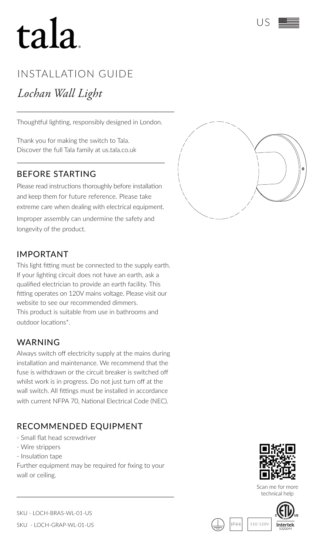# tala

# INSTALLATION GUIDE

# *Lochan Wall Light*

Thoughtful lighting, responsibly designed in London.

Thank you for making the switch to Tala. Discover the full Tala family at us.tala.co.uk

#### BEFORE STARTING

Please read instructions thoroughly before installation and keep them for future reference. Please take extreme care when dealing with electrical equipment. Improper assembly can undermine the safety and longevity of the product.



## IMPORTANT

This light fitting must be connected to the supply earth. If your lighting circuit does not have an earth, ask a qualified electrician to provide an earth facility. This fitting operates on 120V mains voltage. Please visit our website to see our recommended dimmers. This product is suitable from use in bathrooms and outdoor locations\*.

#### WARNING

Always switch off electricity supply at the mains during installation and maintenance. We recommend that the fuse is withdrawn or the circuit breaker is switched off whilst work is in progress. Do not just turn off at the wall switch. All fittings must be installed in accordance with current NFPA 70, National Electrical Code (NEC).

## RECOMMENDED EQUIPMENT

- Small flat head screwdriver
- Wire strippers
- Insulation tape

Further equipment may be required for fixing to your wall or ceiling.



Scan me for more technical help

 $110 - 120$ 





SKU - LOCH-BRAS-WL-01-US

SKU - LOCH-GRAP-WL-01-US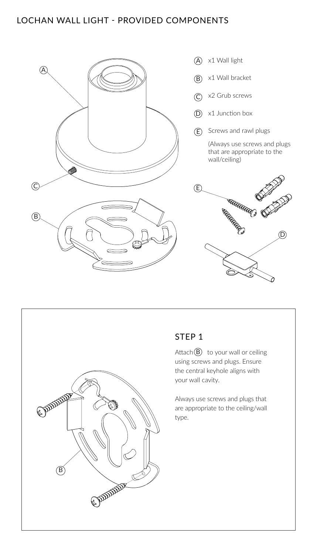#### LOCHAN WALL LIGHT - PROVIDED COMPONENTS





# STEP<sub>1</sub>

Attach $\left(\mathsf{B}\right)$  to your wall or ceiling using screws and plugs. Ensure the central keyhole aligns with your wall cavity.

Always use screws and plugs that are appropriate to the ceiling/wall type.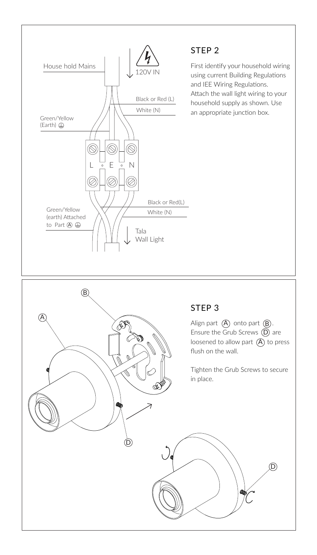

## STEP 2

First identify your household wiring using current Building Regulations and IEE Wiring Regulations. Attach the wall light wiring to your household supply as shown. Use  $W$ hite (N) an appropriate junction box.